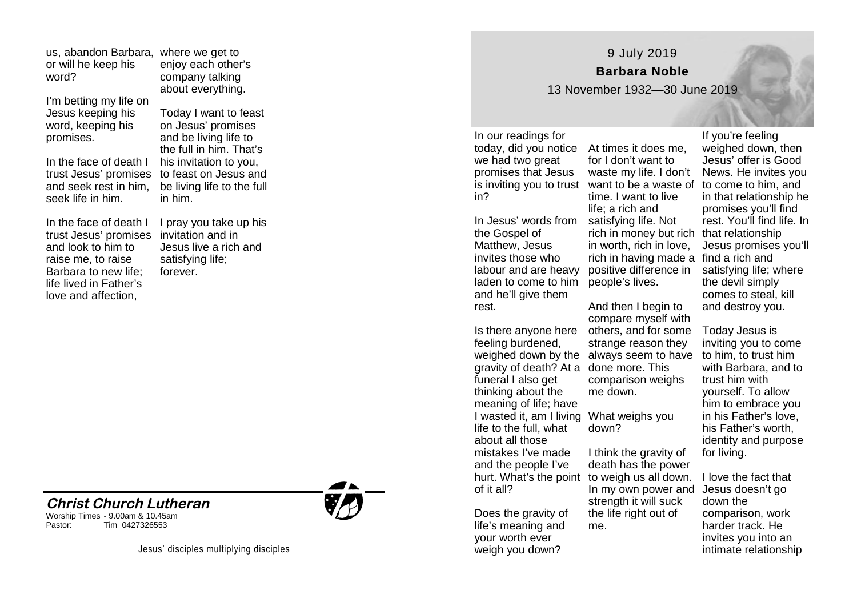us, abandon Barbara, where we get to or will he keep his word?

I'm betting my life on Jesus keeping his word, keeping his promises.

In the face of death I trust Jesus' promises and seek rest in him, seek life in him.

In the face of death I trust Jesus' promises and look to him to raise me, to raise Barbara to new life; life lived in Father's love and affection,

enjoy each other's company talking about everything.

> Today I want to feast on Jesus' promises and be living life to the full in him. That's his invitation to you, to feast on Jesus and be living life to the full in him.

I pray you take up his invitation and in Jesus live a rich and satisfying life; forever.







9 July 2019 **Barbara Noble** 

13 November 1932—30 June 2019

In our readings for we had two great promises that Jesus in?

In Jesus' words from the Gospel of Matthew, Jesus invites those who labour and are heavy laden to come to him and he'll give them rest.

feeling burdened, gravity of death? At a done more. This funeral I also get thinking about the meaning of life; have I wasted it, am I living What weighs you life to the full, what about all those mistakes I've made and the people I've of it all?

Does the gravity of life's meaning and your worth ever weigh you down?

today, did you notice At times it does me, is inviting you to trust want to be a waste of to come to him, and for I don't want to waste my life. I don't time. I want to live life; a rich and satisfying life. Not rich in money but rich that relationship in worth, rich in love, rich in having made a find a rich and positive difference in people's lives.

Is there anyone here others, and for some weighed down by the always seem to have And then I begin to compare myself with strange reason they comparison weighs me down.

down?

hurt. What's the point to weigh us all down. I think the gravity of death has the power In my own power and strength it will suck the life right out of me.

If you're feeling weighed down, then Jesus' offer is Good News. He invites you in that relationship he promises you'll find rest. You'll find life. In Jesus promises you'll satisfying life; where the devil simply comes to steal, kill and destroy you.

Today Jesus is inviting you to come to him, to trust him with Barbara, and to trust him with yourself. To allow him to embrace you in his Father's love, his Father's worth, identity and purpose for living.

I love the fact that Jesus doesn't go down the comparison, work harder track. He invites you into an intimate relationship